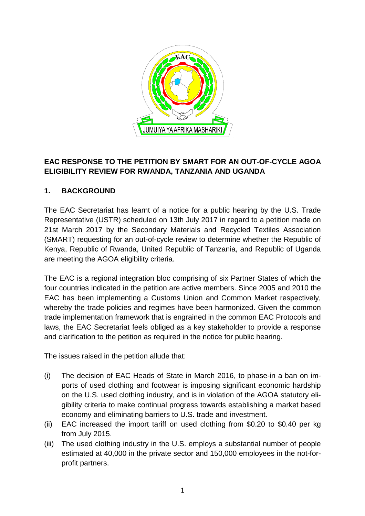

# **EAC RESPONSE TO THE PETITION BY SMART FOR AN OUT-OF-CYCLE AGOA ELIGIBILITY REVIEW FOR RWANDA, TANZANIA AND UGANDA**

# **1. BACKGROUND**

The EAC Secretariat has learnt of a notice for a public hearing by the U.S. Trade Representative (USTR) scheduled on 13th July 2017 in regard to a petition made on 21st March 2017 by the Secondary Materials and Recycled Textiles Association (SMART) requesting for an out-of-cycle review to determine whether the Republic of Kenya, Republic of Rwanda, United Republic of Tanzania, and Republic of Uganda are meeting the AGOA eligibility criteria.

The EAC is a regional integration bloc comprising of six Partner States of which the four countries indicated in the petition are active members. Since 2005 and 2010 the EAC has been implementing a Customs Union and Common Market respectively, whereby the trade policies and regimes have been harmonized. Given the common trade implementation framework that is engrained in the common EAC Protocols and laws, the EAC Secretariat feels obliged as a key stakeholder to provide a response and clarification to the petition as required in the notice for public hearing.

The issues raised in the petition allude that:

- (i) The decision of EAC Heads of State in March 2016, to phase-in a ban on imports of used clothing and footwear is imposing significant economic hardship on the U.S. used clothing industry, and is in violation of the AGOA statutory eligibility criteria to make continual progress towards establishing a market based economy and eliminating barriers to U.S. trade and investment.
- (ii) EAC increased the import tariff on used clothing from \$0.20 to \$0.40 per kg from July 2015.
- (iii) The used clothing industry in the U.S. employs a substantial number of people estimated at 40,000 in the private sector and 150,000 employees in the not-forprofit partners.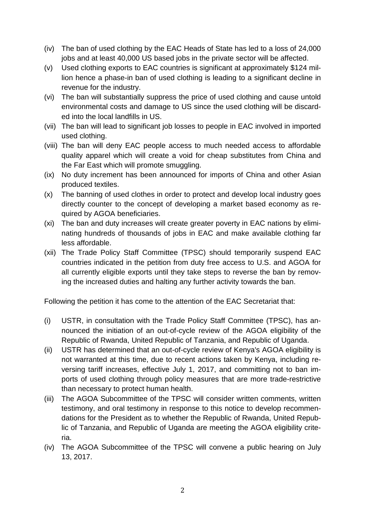- (iv) The ban of used clothing by the EAC Heads of State has led to a loss of 24,000 jobs and at least 40,000 US based jobs in the private sector will be affected.
- (v) Used clothing exports to EAC countries is significant at approximately \$124 million hence a phase-in ban of used clothing is leading to a significant decline in revenue for the industry.
- (vi) The ban will substantially suppress the price of used clothing and cause untold environmental costs and damage to US since the used clothing will be discarded into the local landfills in US.
- (vii) The ban will lead to significant job losses to people in EAC involved in imported used clothing.
- (viii) The ban will deny EAC people access to much needed access to affordable quality apparel which will create a void for cheap substitutes from China and the Far East which will promote smuggling.
- (ix) No duty increment has been announced for imports of China and other Asian produced textiles.
- (x) The banning of used clothes in order to protect and develop local industry goes directly counter to the concept of developing a market based economy as required by AGOA beneficiaries.
- (xi) The ban and duty increases will create greater poverty in EAC nations by eliminating hundreds of thousands of jobs in EAC and make available clothing far less affordable.
- (xii) The Trade Policy Staff Committee (TPSC) should temporarily suspend EAC countries indicated in the petition from duty free access to U.S. and AGOA for all currently eligible exports until they take steps to reverse the ban by removing the increased duties and halting any further activity towards the ban.

Following the petition it has come to the attention of the EAC Secretariat that:

- (i) USTR, in consultation with the Trade Policy Staff Committee (TPSC), has announced the initiation of an out-of-cycle review of the AGOA eligibility of the Republic of Rwanda, United Republic of Tanzania, and Republic of Uganda.
- (ii) USTR has determined that an out-of-cycle review of Kenya's AGOA eligibility is not warranted at this time, due to recent actions taken by Kenya, including reversing tariff increases, effective July 1, 2017, and committing not to ban imports of used clothing through policy measures that are more trade-restrictive than necessary to protect human health.
- (iii) The AGOA Subcommittee of the TPSC will consider written comments, written testimony, and oral testimony in response to this notice to develop recommendations for the President as to whether the Republic of Rwanda, United Republic of Tanzania, and Republic of Uganda are meeting the AGOA eligibility criteria.
- (iv) The AGOA Subcommittee of the TPSC will convene a public hearing on July 13, 2017.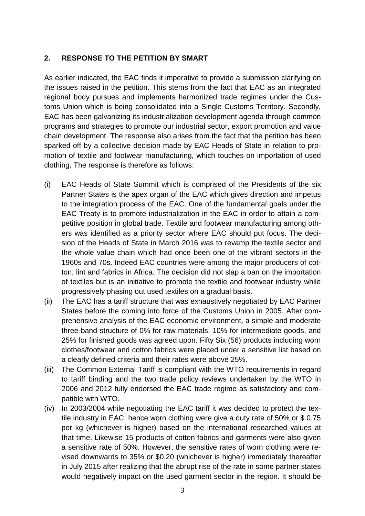## **2. RESPONSE TO THE PETITION BY SMART**

As earlier indicated, the EAC finds it imperative to provide a submission clarifying on the issues raised in the petition. This stems from the fact that EAC as an integrated regional body pursues and implements harmonized trade regimes under the Customs Union which is being consolidated into a Single Customs Territory. Secondly, EAC has been galvanizing its industrialization development agenda through common programs and strategies to promote our industrial sector, export promotion and value chain development. The response also arises from the fact that the petition has been sparked off by a collective decision made by EAC Heads of State in relation to promotion of textile and footwear manufacturing, which touches on importation of used clothing. The response is therefore as follows:

- (i) EAC Heads of State Summit which is comprised of the Presidents of the six Partner States is the apex organ of the EAC which gives direction and impetus to the integration process of the EAC. One of the fundamental goals under the EAC Treaty is to promote industrialization in the EAC in order to attain a competitive position in global trade. Textile and footwear manufacturing among others was identified as a priority sector where EAC should put focus. The decision of the Heads of State in March 2016 was to revamp the textile sector and the whole value chain which had once been one of the vibrant sectors in the 1960s and 70s. Indeed EAC countries were among the major producers of cotton, lint and fabrics in Africa. The decision did not slap a ban on the importation of textiles but is an initiative to promote the textile and footwear industry while progressively phasing out used textiles on a gradual basis.
- (ii) The EAC has a tariff structure that was exhaustively negotiated by EAC Partner States before the coming into force of the Customs Union in 2005. After comprehensive analysis of the EAC economic environment, a simple and moderate three-band structure of 0% for raw materials, 10% for intermediate goods, and 25% for finished goods was agreed upon. Fifty Six (56) products including worn clothes/footwear and cotton fabrics were placed under a sensitive list based on a clearly defined criteria and their rates were above 25%.
- (iii) The Common External Tariff is compliant with the WTO requirements in regard to tariff binding and the two trade policy reviews undertaken by the WTO in 2006 and 2012 fully endorsed the EAC trade regime as satisfactory and compatible with WTO.
- (iv) In 2003/2004 while negotiating the EAC tariff it was decided to protect the textile industry in EAC, hence worn clothing were give a duty rate of 50% or \$ 0.75 per kg (whichever is higher) based on the international researched values at that time. Likewise 15 products of cotton fabrics and garments were also given a sensitive rate of 50%. However, the sensitive rates of worn clothing were revised downwards to 35% or \$0.20 (whichever is higher) immediately thereafter in July 2015 after realizing that the abrupt rise of the rate in some partner states would negatively impact on the used garment sector in the region. It should be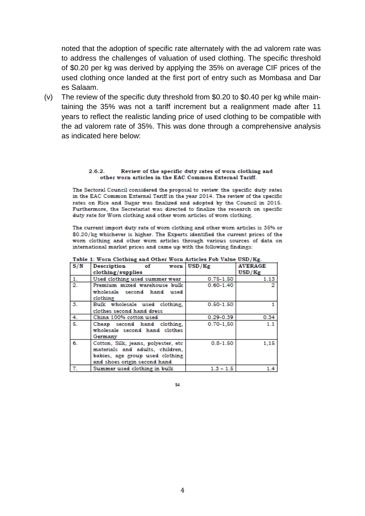noted that the adoption of specific rate alternately with the ad valorem rate was to address the challenges of valuation of used clothing. The specific threshold of \$0.20 per kg was derived by applying the 35% on average CIF prices of the used clothing once landed at the first port of entry such as Mombasa and Dar es Salaam.

(v) The review of the specific duty threshold from \$0.20 to \$0.40 per kg while maintaining the 35% was not a tariff increment but a realignment made after 11 years to reflect the realistic landing price of used clothing to be compatible with the ad valorem rate of 35%. This was done through a comprehensive analysis as indicated here below:

#### 262 Review of the specific duty rates of worn clothing and other worn articles in the EAC Common External Tariff.

The Sectoral Council considered the proposal to review the specific duty rates in the EAC Common External Tariff in the year 2014. The review of the specific rates on Rice and Sugar was finalized and adopted by the Council in 2015. Furthermore, the Secretariat was directed to finalize the research on specific duty rate for Worn clothing and other worn articles of worn clothing.

The current import duty rate of worn clothing and other worn articles is 35% or \$0.20/kg whichever is higher. The Experts identified the current prices of the worn clothing and other worn articles through various sources of data on international market prices and came up with the following findings:

| S/N              | Description of worn USD/Kg<br>clothing/supplies                                                                                            |               | <b>AVERAGE</b><br>USD/Kg |
|------------------|--------------------------------------------------------------------------------------------------------------------------------------------|---------------|--------------------------|
| 1.               | Used clothing used summer wear                                                                                                             | $0.75 - 1.50$ | 1.13                     |
| 2.               | Premium mixed warehouse bulk                                                                                                               | $0.60 - 1.40$ |                          |
|                  | wholesale second hand used<br>clothing                                                                                                     |               |                          |
| $\mathbf{3}$ .   | Bulk wholesale used clothing,                                                                                                              | $0.50 - 1.50$ |                          |
|                  | clothes second hand dress                                                                                                                  |               |                          |
| $\overline{4}$ . | China 100% cotton used                                                                                                                     | $0.29 - 0.39$ | 0.34                     |
| 5.               | Cheap second hand clothing,<br>wholesale second hand clothes<br>Germany                                                                    | $0.70 - 1.50$ | 1.1                      |
| 6.               | Cotton, Silk, jeans, polyester, etc.<br>materials and adults, children,<br>babies, age group used clothing<br>and shoes origin second hand | $0.8 - 1.50$  | 1,15                     |
| 7.               | Summer used clothing in bulk                                                                                                               | $1.3 - 1.5$   | $1.4^{\circ}$            |

### Table 1: Worn Clothing and Other Worn Articles Fob Value USD/Kg

54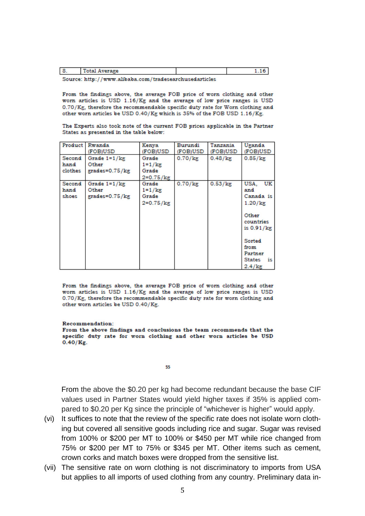Source: http://www.alibaba.com/tradesearchusedarticles

From the findings above, the average FOB price of worn clothing and other worn articles is USD 1.16/Kg and the average of low price ranges is USD 0.70/Kg, therefore the recommendable specific duty rate for Worn clothing and other worn articles be USD 0.40/Kg which is 35% of the FOB USD 1.16/Kg.

The Experts also took note of the current FOB prices applicable in the Partner States as presented in the table below:

| Product                   | Rwanda<br>(FOB)USD                                      | Kenya<br>(FOB)USD                                       | Burundi<br>(FOB)USD | Tanzania<br>(FOB)USD | Uganda<br>(FOB)USD                                                                                                                                |
|---------------------------|---------------------------------------------------------|---------------------------------------------------------|---------------------|----------------------|---------------------------------------------------------------------------------------------------------------------------------------------------|
| Second<br>hand<br>clothes | Grade $1 = 1$ / $kg$<br>Other<br>$grades = 0.75$ / $kg$ | Grade<br>$1 = 1 / \text{kg}$<br>Grade<br>$2 = 0.75$ /kg | $0.70$ / $kg$       | $0.48/\mathrm{kg}$   | $0.85/\text{kg}$                                                                                                                                  |
| Second<br>hand<br>shoes   | Grade $1=1/kg$<br>Other<br>grades=0.75/kg               | Grade<br>$1 = 1 / \text{kg}$<br>Grade<br>2=0.75/kg      | $0.70$ / $kg$       | 0.53/kg              | USA,<br>UK<br>and<br>Canada is<br>1.20/kg<br>Other<br>countries<br>is $0.91/kg$<br>Sorted<br>from<br>Partner<br>States<br>is<br>$2.4/\mathrm{kg}$ |

From the findings above, the average FOB price of worn clothing and other worn articles is USD 1.16/Kg and the average of low price ranges is USD 0.70/Kg, therefore the recommendable specific duty rate for worn clothing and other worn articles be USD 0.40/Kg.

### **Recommendation:**

From the above findings and conclusions the team recommends that the specific duty rate for worn clothing and other worn articles be USD  $0.40$ /Kg.

### 55

From the above the \$0.20 per kg had become redundant because the base CIF values used in Partner States would yield higher taxes if 35% is applied compared to \$0.20 per Kg since the principle of "whichever is higher" would apply.

- (vi) It suffices to note that the review of the specific rate does not isolate worn clothing but covered all sensitive goods including rice and sugar. Sugar was revised from 100% or \$200 per MT to 100% or \$450 per MT while rice changed from 75% or \$200 per MT to 75% or \$345 per MT. Other items such as cement, crown corks and match boxes were dropped from the sensitive list.
- (vii) The sensitive rate on worn clothing is not discriminatory to imports from USA but applies to all imports of used clothing from any country. Preliminary data in-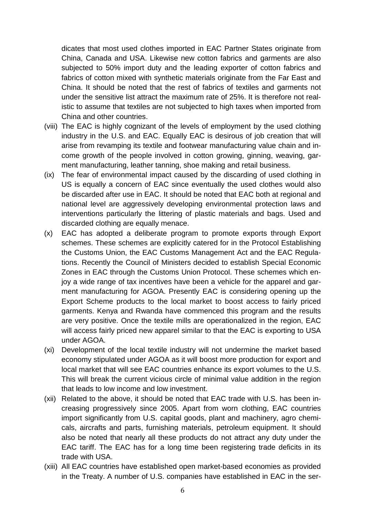dicates that most used clothes imported in EAC Partner States originate from China, Canada and USA. Likewise new cotton fabrics and garments are also subjected to 50% import duty and the leading exporter of cotton fabrics and fabrics of cotton mixed with synthetic materials originate from the Far East and China. It should be noted that the rest of fabrics of textiles and garments not under the sensitive list attract the maximum rate of 25%. It is therefore not realistic to assume that textiles are not subjected to high taxes when imported from China and other countries.

- (viii) The EAC is highly cognizant of the levels of employment by the used clothing industry in the U.S. and EAC. Equally EAC is desirous of job creation that will arise from revamping its textile and footwear manufacturing value chain and income growth of the people involved in cotton growing, ginning, weaving, garment manufacturing, leather tanning, shoe making and retail business.
- (ix) The fear of environmental impact caused by the discarding of used clothing in US is equally a concern of EAC since eventually the used clothes would also be discarded after use in EAC. It should be noted that EAC both at regional and national level are aggressively developing environmental protection laws and interventions particularly the littering of plastic materials and bags. Used and discarded clothing are equally menace.
- (x) EAC has adopted a deliberate program to promote exports through Export schemes. These schemes are explicitly catered for in the Protocol Establishing the Customs Union, the EAC Customs Management Act and the EAC Regulations. Recently the Council of Ministers decided to establish Special Economic Zones in EAC through the Customs Union Protocol. These schemes which enjoy a wide range of tax incentives have been a vehicle for the apparel and garment manufacturing for AGOA. Presently EAC is considering opening up the Export Scheme products to the local market to boost access to fairly priced garments. Kenya and Rwanda have commenced this program and the results are very positive. Once the textile mills are operationalized in the region, EAC will access fairly priced new apparel similar to that the EAC is exporting to USA under AGOA.
- (xi) Development of the local textile industry will not undermine the market based economy stipulated under AGOA as it will boost more production for export and local market that will see EAC countries enhance its export volumes to the U.S. This will break the current vicious circle of minimal value addition in the region that leads to low income and low investment.
- (xii) Related to the above, it should be noted that EAC trade with U.S. has been increasing progressively since 2005. Apart from worn clothing, EAC countries import significantly from U.S. capital goods, plant and machinery, agro chemicals, aircrafts and parts, furnishing materials, petroleum equipment. It should also be noted that nearly all these products do not attract any duty under the EAC tariff. The EAC has for a long time been registering trade deficits in its trade with USA.
- (xiii) All EAC countries have established open market-based economies as provided in the Treaty. A number of U.S. companies have established in EAC in the ser-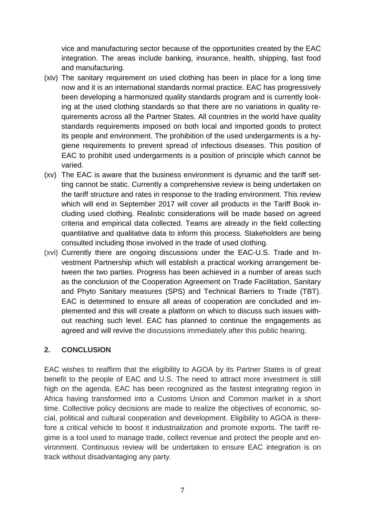vice and manufacturing sector because of the opportunities created by the EAC integration. The areas include banking, insurance, health, shipping, fast food and manufacturing.

- (xiv) The sanitary requirement on used clothing has been in place for a long time now and it is an international standards normal practice. EAC has progressively been developing a harmonized quality standards program and is currently looking at the used clothing standards so that there are no variations in quality requirements across all the Partner States. All countries in the world have quality standards requirements imposed on both local and imported goods to protect its people and environment. The prohibition of the used undergarments is a hygiene requirements to prevent spread of infectious diseases. This position of EAC to prohibit used undergarments is a position of principle which cannot be varied.
- (xv) The EAC is aware that the business environment is dynamic and the tariff setting cannot be static. Currently a comprehensive review is being undertaken on the tariff structure and rates in response to the trading environment. This review which will end in September 2017 will cover all products in the Tariff Book including used clothing. Realistic considerations will be made based on agreed criteria and empirical data collected. Teams are already in the field collecting quantitative and qualitative data to inform this process. Stakeholders are being consulted including those involved in the trade of used clothing.
- (xvi) Currently there are ongoing discussions under the EAC-U.S. Trade and Investment Partnership which will establish a practical working arrangement between the two parties. Progress has been achieved in a number of areas such as the conclusion of the Cooperation Agreement on Trade Facilitation, Sanitary and Phyto Sanitary measures (SPS) and Technical Barriers to Trade (TBT). EAC is determined to ensure all areas of cooperation are concluded and implemented and this will create a platform on which to discuss such issues without reaching such level. EAC has planned to continue the engagements as agreed and will revive the discussions immediately after this public hearing.

### **2. CONCLUSION**

EAC wishes to reaffirm that the eligibility to AGOA by its Partner States is of great benefit to the people of EAC and U.S. The need to attract more investment is still high on the agenda. EAC has been recognized as the fastest integrating region in Africa having transformed into a Customs Union and Common market in a short time. Collective policy decisions are made to realize the objectives of economic, social, political and cultural cooperation and development. Eligibility to AGOA is therefore a critical vehicle to boost it industrialization and promote exports. The tariff regime is a tool used to manage trade, collect revenue and protect the people and environment. Continuous review will be undertaken to ensure EAC integration is on track without disadvantaging any party.